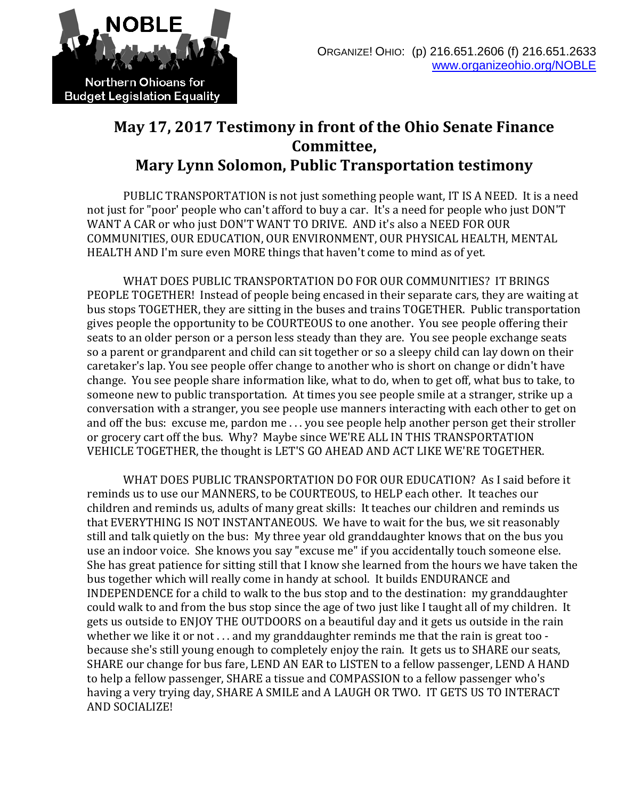

## **May 17, 2017 Testimony in front of the Ohio Senate Finance Committee, Mary Lynn Solomon, Public Transportation testimony**

PUBLIC TRANSPORTATION is not just something people want, IT IS A NEED. It is a need not just for "poor' people who can't afford to buy a car. It's a need for people who just DON'T WANT A CAR or who just DON'T WANT TO DRIVE. AND it's also a NEED FOR OUR COMMUNITIES, OUR EDUCATION, OUR ENVIRONMENT, OUR PHYSICAL HEALTH, MENTAL HEALTH AND I'm sure even MORE things that haven't come to mind as of yet.

WHAT DOES PUBLIC TRANSPORTATION DO FOR OUR COMMUNITIES? IT BRINGS PEOPLE TOGETHER! Instead of people being encased in their separate cars, they are waiting at bus stops TOGETHER, they are sitting in the buses and trains TOGETHER. Public transportation gives people the opportunity to be COURTEOUS to one another. You see people offering their seats to an older person or a person less steady than they are. You see people exchange seats so a parent or grandparent and child can sit together or so a sleepy child can lay down on their caretaker's lap. You see people offer change to another who is short on change or didn't have change. You see people share information like, what to do, when to get off, what bus to take, to someone new to public transportation. At times you see people smile at a stranger, strike up a conversation with a stranger, you see people use manners interacting with each other to get on and off the bus: excuse me, pardon me . . . you see people help another person get their stroller or grocery cart off the bus. Why? Maybe since WE'RE ALL IN THIS TRANSPORTATION VEHICLE TOGETHER, the thought is LET'S GO AHEAD AND ACT LIKE WE'RE TOGETHER.

WHAT DOES PUBLIC TRANSPORTATION DO FOR OUR EDUCATION? As I said before it reminds us to use our MANNERS, to be COURTEOUS, to HELP each other. It teaches our children and reminds us, adults of many great skills: It teaches our children and reminds us that EVERYTHING IS NOT INSTANTANEOUS. We have to wait for the bus, we sit reasonably still and talk quietly on the bus: My three year old granddaughter knows that on the bus you use an indoor voice. She knows you say "excuse me" if you accidentally touch someone else. She has great patience for sitting still that I know she learned from the hours we have taken the bus together which will really come in handy at school. It builds ENDURANCE and INDEPENDENCE for a child to walk to the bus stop and to the destination: my granddaughter could walk to and from the bus stop since the age of two just like I taught all of my children. It gets us outside to ENJOY THE OUTDOORS on a beautiful day and it gets us outside in the rain whether we like it or not . . . and my granddaughter reminds me that the rain is great too because she's still young enough to completely enjoy the rain. It gets us to SHARE our seats, SHARE our change for bus fare, LEND AN EAR to LISTEN to a fellow passenger, LEND A HAND to help a fellow passenger, SHARE a tissue and COMPASSION to a fellow passenger who's having a very trying day, SHARE A SMILE and A LAUGH OR TWO. IT GETS US TO INTERACT AND SOCIALIZE!